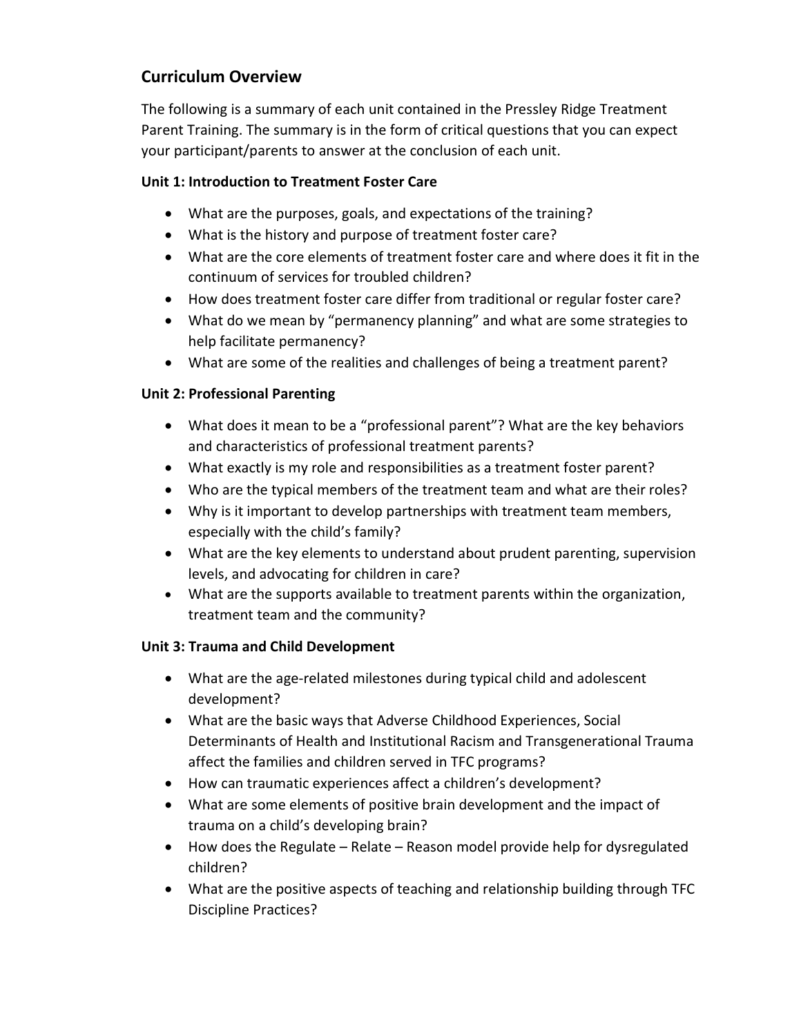# Curriculum Overview

The following is a summary of each unit contained in the Pressley Ridge Treatment Parent Training. The summary is in the form of critical questions that you can expect your participant/parents to answer at the conclusion of each unit.

### Unit 1: Introduction to Treatment Foster Care

- What are the purposes, goals, and expectations of the training?
- What is the history and purpose of treatment foster care?
- What are the core elements of treatment foster care and where does it fit in the continuum of services for troubled children?
- How does treatment foster care differ from traditional or regular foster care?
- What do we mean by "permanency planning" and what are some strategies to help facilitate permanency?
- What are some of the realities and challenges of being a treatment parent?

## Unit 2: Professional Parenting

- What does it mean to be a "professional parent"? What are the key behaviors and characteristics of professional treatment parents?
- What exactly is my role and responsibilities as a treatment foster parent?
- Who are the typical members of the treatment team and what are their roles?
- Why is it important to develop partnerships with treatment team members, especially with the child's family?
- What are the key elements to understand about prudent parenting, supervision levels, and advocating for children in care?
- What are the supports available to treatment parents within the organization, treatment team and the community?

## Unit 3: Trauma and Child Development

- What are the age-related milestones during typical child and adolescent development?
- What are the basic ways that Adverse Childhood Experiences, Social Determinants of Health and Institutional Racism and Transgenerational Trauma affect the families and children served in TFC programs?
- How can traumatic experiences affect a children's development?
- What are some elements of positive brain development and the impact of trauma on a child's developing brain?
- How does the Regulate Relate Reason model provide help for dysregulated children?
- What are the positive aspects of teaching and relationship building through TFC Discipline Practices?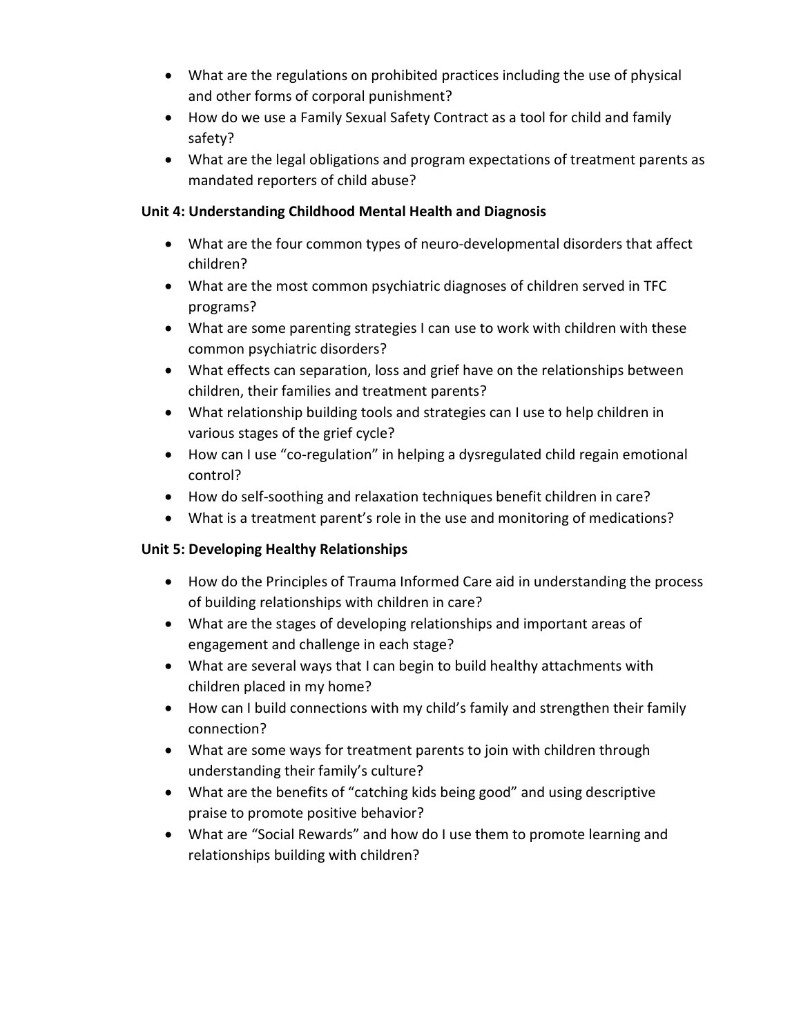- What are the regulations on prohibited practices including the use of physical and other forms of corporal punishment?
- How do we use a Family Sexual Safety Contract as a tool for child and family safety?
- What are the legal obligations and program expectations of treatment parents as mandated reporters of child abuse?

### Unit 4: Understanding Childhood Mental Health and Diagnosis

- What are the four common types of neuro-developmental disorders that affect children?
- What are the most common psychiatric diagnoses of children served in TFC programs?
- What are some parenting strategies I can use to work with children with these common psychiatric disorders?
- What effects can separation, loss and grief have on the relationships between children, their families and treatment parents?
- What relationship building tools and strategies can I use to help children in various stages of the grief cycle?
- How can I use "co-regulation" in helping a dysregulated child regain emotional control?
- How do self-soothing and relaxation techniques benefit children in care?
- What is a treatment parent's role in the use and monitoring of medications?

## Unit 5: Developing Healthy Relationships

- How do the Principles of Trauma Informed Care aid in understanding the process of building relationships with children in care?
- What are the stages of developing relationships and important areas of engagement and challenge in each stage?
- What are several ways that I can begin to build healthy attachments with children placed in my home?
- How can I build connections with my child's family and strengthen their family connection?
- What are some ways for treatment parents to join with children through understanding their family's culture?
- What are the benefits of "catching kids being good" and using descriptive praise to promote positive behavior?
- What are "Social Rewards" and how do I use them to promote learning and relationships building with children?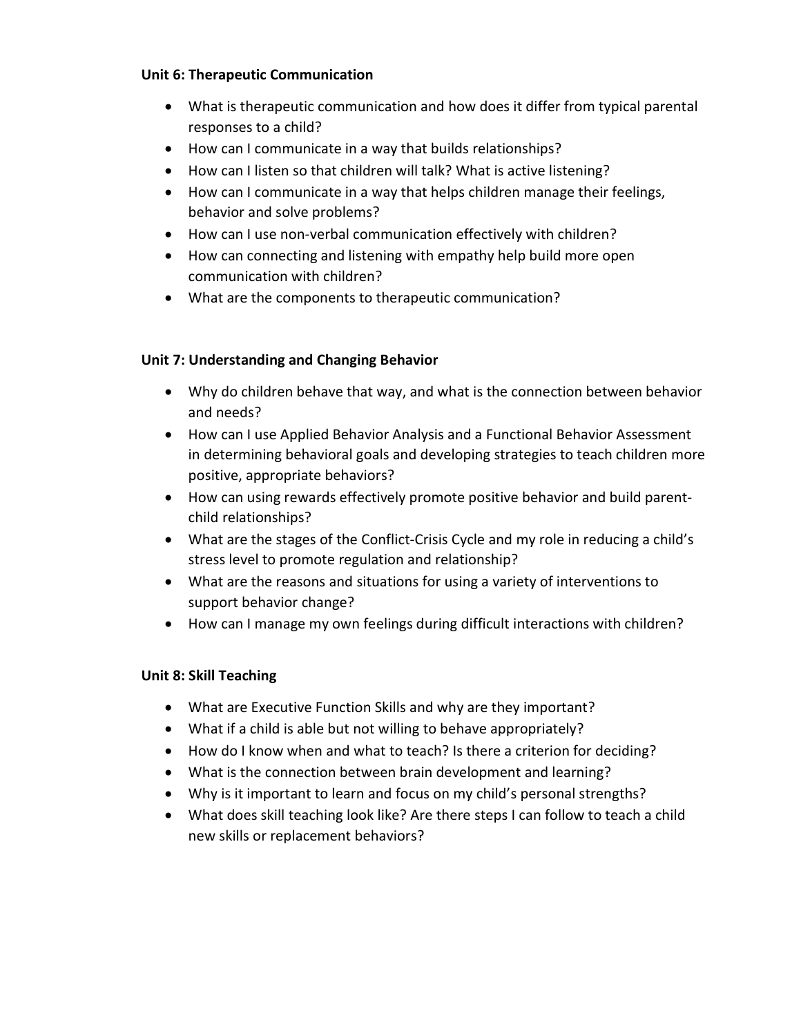#### Unit 6: Therapeutic Communication

- What is therapeutic communication and how does it differ from typical parental responses to a child?
- How can I communicate in a way that builds relationships?
- How can I listen so that children will talk? What is active listening?
- How can I communicate in a way that helps children manage their feelings, behavior and solve problems?
- How can I use non-verbal communication effectively with children?
- How can connecting and listening with empathy help build more open communication with children?
- What are the components to therapeutic communication?

### Unit 7: Understanding and Changing Behavior

- Why do children behave that way, and what is the connection between behavior and needs?
- How can I use Applied Behavior Analysis and a Functional Behavior Assessment in determining behavioral goals and developing strategies to teach children more positive, appropriate behaviors?
- How can using rewards effectively promote positive behavior and build parentchild relationships?
- What are the stages of the Conflict-Crisis Cycle and my role in reducing a child's stress level to promote regulation and relationship?
- What are the reasons and situations for using a variety of interventions to support behavior change?
- How can I manage my own feelings during difficult interactions with children?

### Unit 8: Skill Teaching

- What are Executive Function Skills and why are they important?
- What if a child is able but not willing to behave appropriately?
- How do I know when and what to teach? Is there a criterion for deciding?
- What is the connection between brain development and learning?
- Why is it important to learn and focus on my child's personal strengths?
- What does skill teaching look like? Are there steps I can follow to teach a child new skills or replacement behaviors?